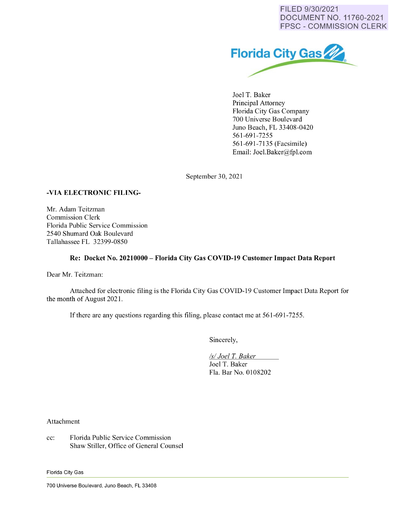FILED 9/30/2021 DOCUMENT NO. 11760-2021 FPSC - COMMISSION CLERK



Joel T. Baker Principal Attorney Florida City Gas Company 700 Universe Boulevard Juno Beach, FL 33408-0420 561-691-7255 561-691-7135 (Facsimile) Email: Joel.Baker@fpl.com

September 30, 2021

## **-VIA ELECTRONIC FILING-**

Mr. Adam Teitzman Commission Clerk Florida Public Service Commission 2540 Shumard Oak Boulevard Tallahassee FL 32399-0850

## **Re: Docket No. 20210000- Florida City Gas COVID-19 Customer Impact Data Report**

Dear Mr. Teitzman:

Attached for electronic filing is the Florida City Gas COVID-19 Customer Impact Data Report for the month of August 2021.

If there are any questions regarding this filing, please contact me at 561-691-7255.

Sincerely,

*Isl Joel* T. *Baker* 

Joel T. Baker Fla. Bar No. 0108202

Attachment

cc: Florida Public Service Commission Shaw Stiller, Office of General Counsel

Florida City Gas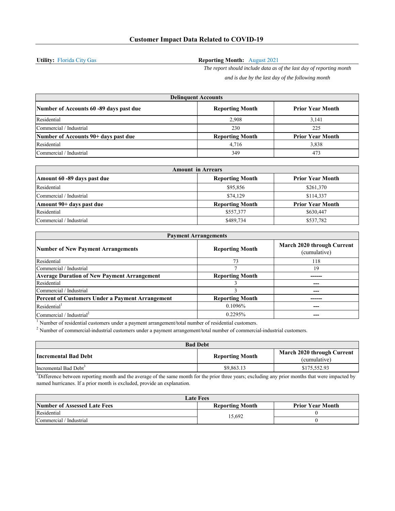**Utility:** Florida City Gas

## **Reporting Month:** August 2021

*The report should include data as of the last day of reporting month and is due by the last day of the following month*

| <b>Delinguent Accounts</b>              |                        |                         |
|-----------------------------------------|------------------------|-------------------------|
| Number of Accounts 60 -89 days past due | <b>Reporting Month</b> | <b>Prior Year Month</b> |
| Residential                             | 2.908                  | 3.141                   |
| Commercial / Industrial                 | 230                    | 225                     |
| Number of Accounts 90+ days past due    | <b>Reporting Month</b> | <b>Prior Year Month</b> |
| Residential                             | 4,716                  | 3,838                   |
| Commercial / Industrial                 | 349                    | 473                     |

| <b>Amount in Arrears</b>    |                        |                         |
|-----------------------------|------------------------|-------------------------|
| Amount 60 -89 days past due | <b>Reporting Month</b> | <b>Prior Year Month</b> |
| Residential                 | \$95,856               | \$261,370               |
| Commercial / Industrial     | \$74,129               | \$114,337               |
| Amount 90+ days past due    | <b>Reporting Month</b> | <b>Prior Year Month</b> |
| Residential                 | \$557,377              | \$630,447               |
| Commercial / Industrial     | \$489,734              | \$537,782               |

| <b>Payment Arrangements</b>                             |                        |                                            |
|---------------------------------------------------------|------------------------|--------------------------------------------|
| <b>Number of New Payment Arrangements</b>               | <b>Reporting Month</b> | March 2020 through Current<br>(cumulative) |
| Residential                                             | 73                     | 118                                        |
| Commercial / Industrial                                 |                        | 19                                         |
| <b>Average Duration of New Payment Arrangement</b>      | <b>Reporting Month</b> |                                            |
| Residential                                             |                        |                                            |
| Commercial / Industrial                                 |                        |                                            |
| <b>Percent of Customers Under a Payment Arrangement</b> | <b>Reporting Month</b> |                                            |
| Residential <sup>1</sup>                                | 0.1096%                |                                            |
| Commercial / Industrial <sup>2</sup>                    | 0.2295%                |                                            |

 $<sup>1</sup>$  Number of residential customers under a payment arrangement/total number of residential customers.</sup>

<sup>2</sup> Number of commercial-industrial customers under a payment arrangement/total number of commercial-industrial customers.

| <b>Bad Debt</b>                   |                        |                            |
|-----------------------------------|------------------------|----------------------------|
| Incremental Bad Debt              | <b>Reporting Month</b> | March 2020 through Current |
|                                   |                        | (cumulative)               |
| Incremental Bad Debt <sup>3</sup> | \$9,863.13             | \$175,552.93               |

 $<sup>3</sup>$ Difference between reporting month and the average of the same month for the prior three years; excluding any prior months that were impacted by</sup> named hurricanes. If a prior month is excluded, provide an explanation.

| <b>Late Fees</b>                    |                        |                         |
|-------------------------------------|------------------------|-------------------------|
| <b>Number of Assessed Late Fees</b> | <b>Reporting Month</b> | <b>Prior Year Month</b> |
| Residential                         | 15.692                 |                         |
| Commercial / Industrial             |                        |                         |